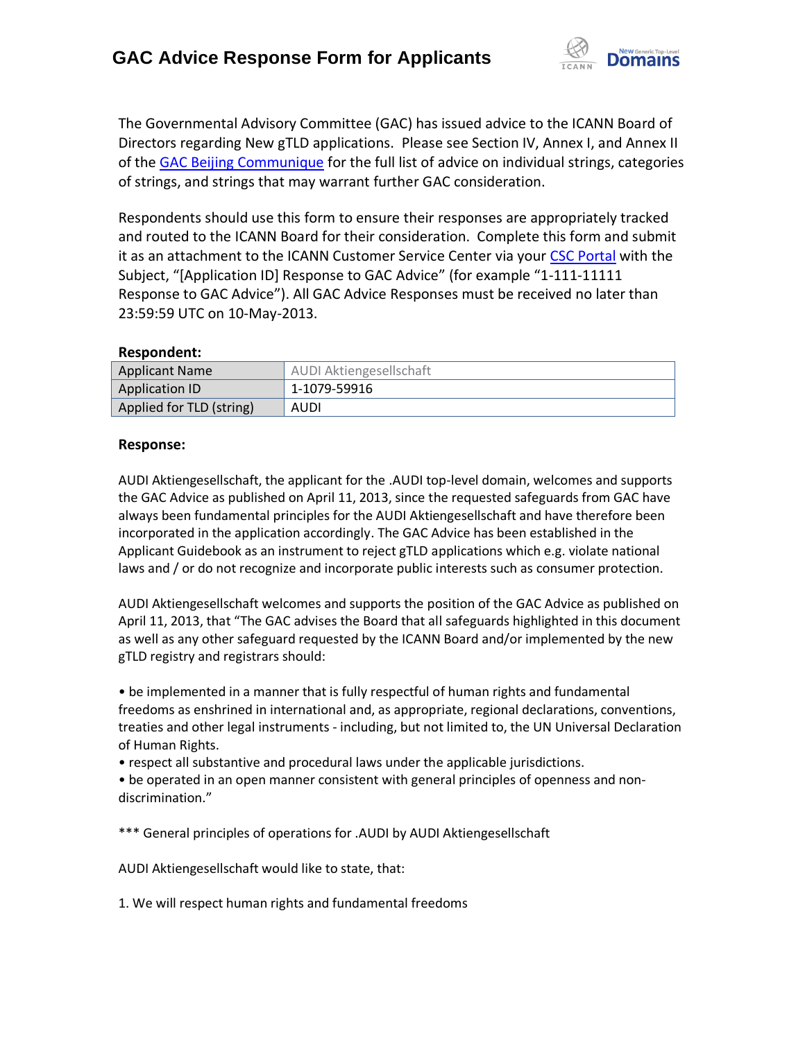

The Governmental Advisory Committee (GAC) has issued advice to the ICANN Board of Directors regarding New gTLD applications. Please see Section IV, Annex I, and Annex II of the [GAC Beijing Communique](http://www.icann.org/en/news/correspondence/gac-to-board-18apr13-en.pdf) for the full list of advice on individual strings, categories of strings, and strings that may warrant further GAC consideration.

Respondents should use this form to ensure their responses are appropriately tracked and routed to the ICANN Board for their consideration. Complete this form and submit it as an attachment to the ICANN Customer Service Center via your CSC [Portal](https://myicann.secure.force.com/) with the Subject, "[Application ID] Response to GAC Advice" (for example "1-111-11111 Response to GAC Advice"). All GAC Advice Responses must be received no later than 23:59:59 UTC on 10-May-2013.

## **Respondent:**

| <b>Applicant Name</b>    | AUDI Aktiengesellschaft |
|--------------------------|-------------------------|
| <b>Application ID</b>    | 1-1079-59916            |
| Applied for TLD (string) | AUDI                    |

## **Response:**

AUDI Aktiengesellschaft, the applicant for the .AUDI top-level domain, welcomes and supports the GAC Advice as published on April 11, 2013, since the requested safeguards from GAC have always been fundamental principles for the AUDI Aktiengesellschaft and have therefore been incorporated in the application accordingly. The GAC Advice has been established in the Applicant Guidebook as an instrument to reject gTLD applications which e.g. violate national laws and / or do not recognize and incorporate public interests such as consumer protection.

AUDI Aktiengesellschaft welcomes and supports the position of the GAC Advice as published on April 11, 2013, that "The GAC advises the Board that all safeguards highlighted in this document as well as any other safeguard requested by the ICANN Board and/or implemented by the new gTLD registry and registrars should:

• be implemented in a manner that is fully respectful of human rights and fundamental freedoms as enshrined in international and, as appropriate, regional declarations, conventions, treaties and other legal instruments - including, but not limited to, the UN Universal Declaration of Human Rights.

• respect all substantive and procedural laws under the applicable jurisdictions.

• be operated in an open manner consistent with general principles of openness and non‐ discrimination."

\*\*\* General principles of operations for .AUDI by AUDI Aktiengesellschaft

AUDI Aktiengesellschaft would like to state, that:

1. We will respect human rights and fundamental freedoms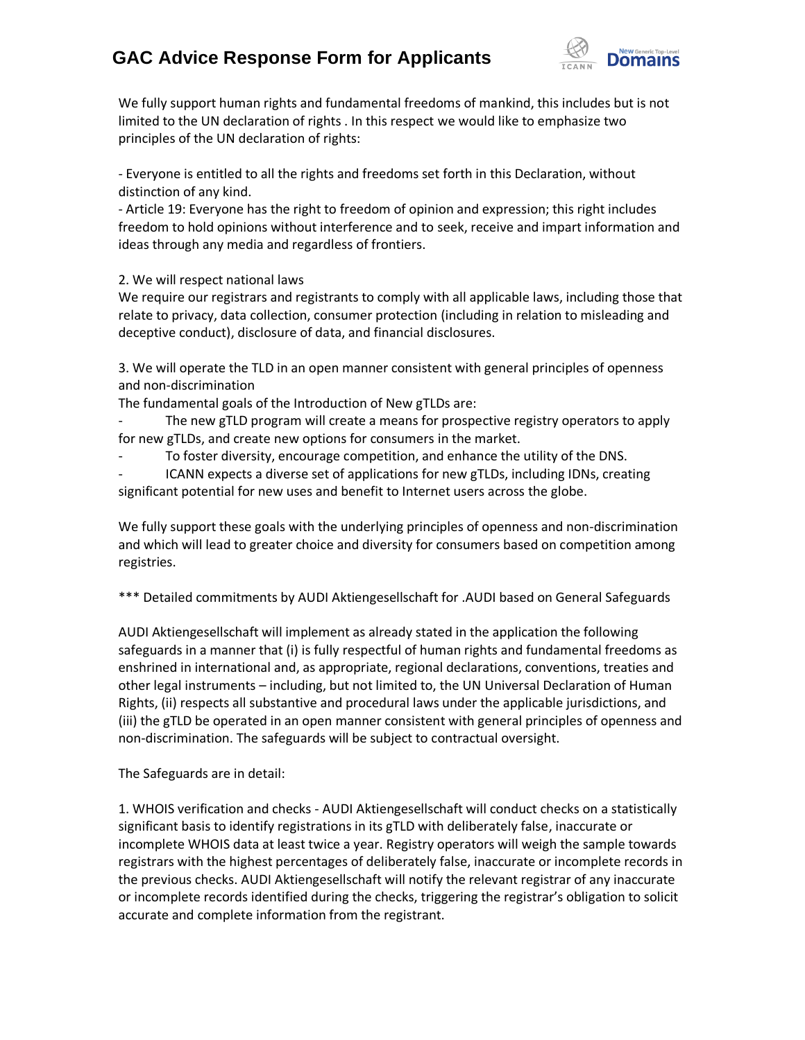## **GAC Advice Response Form for Applicants**



We fully support human rights and fundamental freedoms of mankind, this includes but is not limited to the UN declaration of rights . In this respect we would like to emphasize two principles of the UN declaration of rights:

- Everyone is entitled to all the rights and freedoms set forth in this Declaration, without distinction of any kind.

- Article 19: Everyone has the right to freedom of opinion and expression; this right includes freedom to hold opinions without interference and to seek, receive and impart information and ideas through any media and regardless of frontiers.

2. We will respect national laws

We require our registrars and registrants to comply with all applicable laws, including those that relate to privacy, data collection, consumer protection (including in relation to misleading and deceptive conduct), disclosure of data, and financial disclosures.

3. We will operate the TLD in an open manner consistent with general principles of openness and non‐discrimination

The fundamental goals of the Introduction of New gTLDs are:

The new gTLD program will create a means for prospective registry operators to apply for new gTLDs, and create new options for consumers in the market.

To foster diversity, encourage competition, and enhance the utility of the DNS.

ICANN expects a diverse set of applications for new gTLDs, including IDNs, creating significant potential for new uses and benefit to Internet users across the globe.

We fully support these goals with the underlying principles of openness and non-discrimination and which will lead to greater choice and diversity for consumers based on competition among registries.

\*\*\* Detailed commitments by AUDI Aktiengesellschaft for .AUDI based on General Safeguards

AUDI Aktiengesellschaft will implement as already stated in the application the following safeguards in a manner that (i) is fully respectful of human rights and fundamental freedoms as enshrined in international and, as appropriate, regional declarations, conventions, treaties and other legal instruments – including, but not limited to, the UN Universal Declaration of Human Rights, (ii) respects all substantive and procedural laws under the applicable jurisdictions, and (iii) the gTLD be operated in an open manner consistent with general principles of openness and non‐discrimination. The safeguards will be subject to contractual oversight.

The Safeguards are in detail:

1. WHOIS verification and checks - AUDI Aktiengesellschaft will conduct checks on a statistically significant basis to identify registrations in its gTLD with deliberately false, inaccurate or incomplete WHOIS data at least twice a year. Registry operators will weigh the sample towards registrars with the highest percentages of deliberately false, inaccurate or incomplete records in the previous checks. AUDI Aktiengesellschaft will notify the relevant registrar of any inaccurate or incomplete records identified during the checks, triggering the registrar's obligation to solicit accurate and complete information from the registrant.